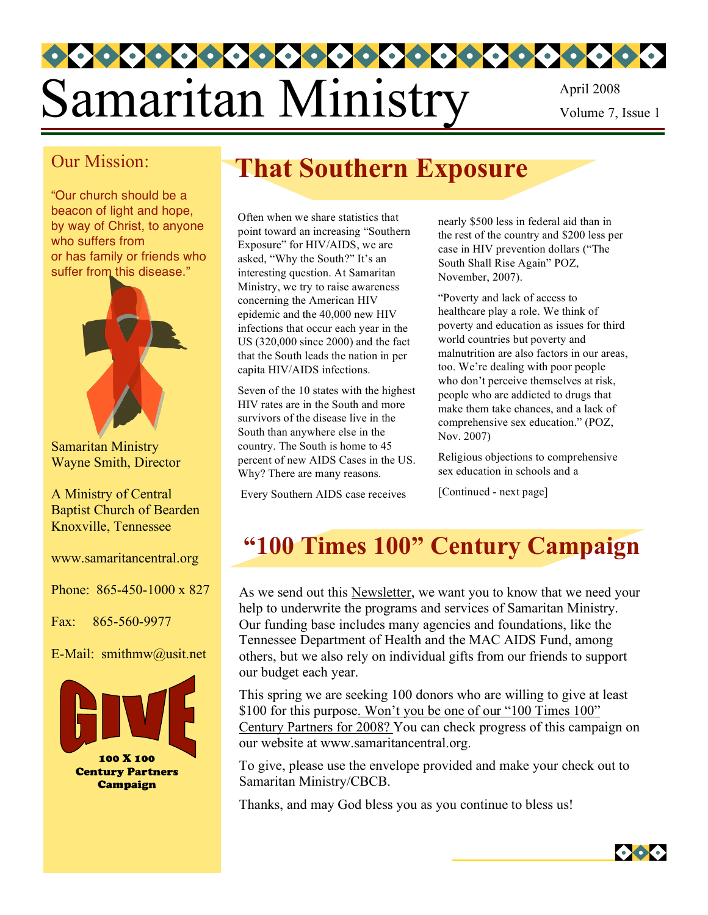# Samaritan Ministry April 2008 Volume 7, Issue 1

#### Our Mission:

"Our church should be a beacon of light and hope, by way of Christ, to anyone who suffers from or has family or friends who suffer from this disease."



Samaritan Ministry Wayne Smith, Director

A Ministry of Central Baptist Church of Bearden Knoxville, Tennessee

www.samaritancentral.org

Phone: 865-450-1000 x 827

Fax: 865-560-9977

E-Mail: smithmw@usit.net



# **That Southern Exposure**

Often when we share statistics that point toward an increasing "Southern Exposure" for HIV/AIDS, we are asked, "Why the South?" It's an interesting question. At Samaritan Ministry, we try to raise awareness concerning the American HIV epidemic and the 40,000 new HIV infections that occur each year in the US (320,000 since 2000) and the fact that the South leads the nation in per capita HIV/AIDS infections.

Seven of the 10 states with the highest HIV rates are in the South and more survivors of the disease live in the South than anywhere else in the country. The South is home to 45 percent of new AIDS Cases in the US. Why? There are many reasons.

Every Southern AIDS case receives

nearly \$500 less in federal aid than in the rest of the country and \$200 less per case in HIV prevention dollars ("The South Shall Rise Again" POZ, November, 2007).

"Poverty and lack of access to healthcare play a role. We think of poverty and education as issues for third world countries but poverty and malnutrition are also factors in our areas, too. We're dealing with poor people who don't perceive themselves at risk, people who are addicted to drugs that make them take chances, and a lack of comprehensive sex education." (POZ, Nov. 2007)

Religious objections to comprehensive sex education in schools and a

[Continued - next page]

# **"100 Times 100" Century Campaign**

As we send out this Newsletter, we want you to know that we need your help to underwrite the programs and services of Samaritan Ministry. Our funding base includes many agencies and foundations, like the Tennessee Department of Health and the MAC AIDS Fund, among others, but we also rely on individual gifts from our friends to support our budget each year.

This spring we are seeking 100 donors who are willing to give at least \$100 for this purpose. Won't you be one of our "100 Times 100" Century Partners for 2008? You can check progress of this campaign on our website at www.samaritancentral.org.

To give, please use the envelope provided and make your check out to Samaritan Ministry/CBCB.

Thanks, and may God bless you as you continue to bless us!

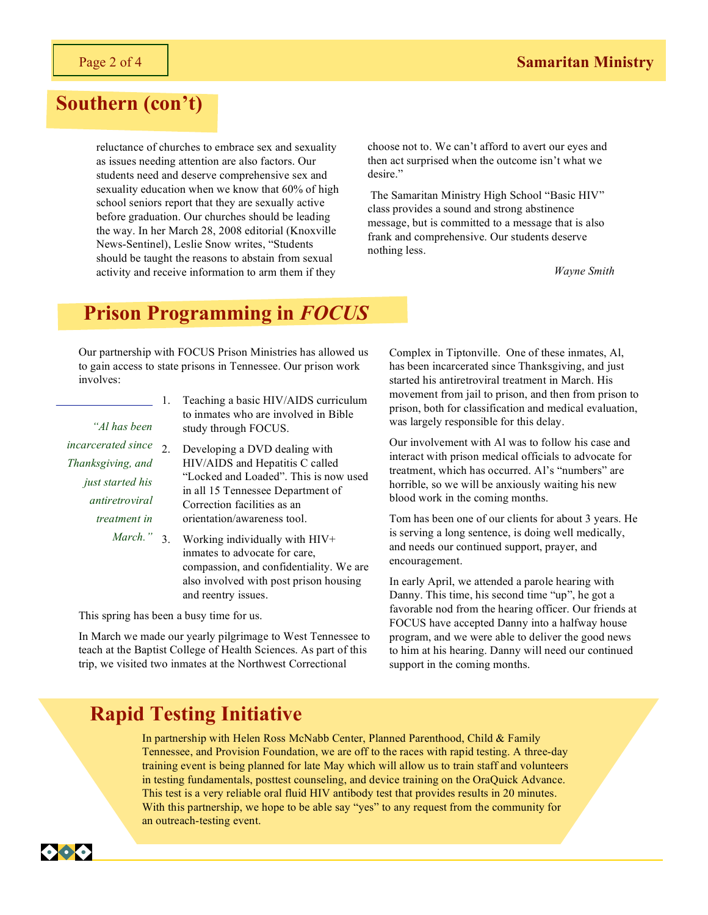#### **Southern (con't)**

reluctance of churches to embrace sex and sexuality as issues needing attention are also factors. Our students need and deserve comprehensive sex and sexuality education when we know that 60% of high school seniors report that they are sexually active before graduation. Our churches should be leading the way. In her March 28, 2008 editorial (Knoxville News-Sentinel), Leslie Snow writes, "Students should be taught the reasons to abstain from sexual activity and receive information to arm them if they

choose not to. We can't afford to avert our eyes and then act surprised when the outcome isn't what we desire."

 The Samaritan Ministry High School "Basic HIV" class provides a sound and strong abstinence message, but is committed to a message that is also frank and comprehensive. Our students deserve nothing less.

*Wayne Smith*

#### **Prison Programming in** *FOCUS*

Our partnership with FOCUS Prison Ministries has allowed us to gain access to state prisons in Tennessee. Our prison work involves:

*"Al has been* 

*incarcerated since Thanksgiving, and just started his antiretroviral treatment in* 

- 1. Teaching a basic HIV/AIDS curriculum to inmates who are involved in Bible study through FOCUS.
- 2. Developing a DVD dealing with HIV/AIDS and Hepatitis C called "Locked and Loaded". This is now used in all 15 Tennessee Department of Correction facilities as an orientation/awareness tool.
- *March."* 3. Working individually with HIV+ inmates to advocate for care, compassion, and confidentiality. We are also involved with post prison housing and reentry issues.

This spring has been a busy time for us.

In March we made our yearly pilgrimage to West Tennessee to teach at the Baptist College of Health Sciences. As part of this trip, we visited two inmates at the Northwest Correctional

Complex in Tiptonville. One of these inmates, Al, has been incarcerated since Thanksgiving, and just started his antiretroviral treatment in March. His movement from jail to prison, and then from prison to prison, both for classification and medical evaluation, was largely responsible for this delay.

Our involvement with Al was to follow his case and interact with prison medical officials to advocate for treatment, which has occurred. Al's "numbers" are horrible, so we will be anxiously waiting his new blood work in the coming months.

Tom has been one of our clients for about 3 years. He is serving a long sentence, is doing well medically, and needs our continued support, prayer, and encouragement.

In early April, we attended a parole hearing with Danny. This time, his second time "up", he got a favorable nod from the hearing officer. Our friends at FOCUS have accepted Danny into a halfway house program, and we were able to deliver the good news to him at his hearing. Danny will need our continued support in the coming months.

#### **Rapid Testing Initiative**

In partnership with Helen Ross McNabb Center, Planned Parenthood, Child & Family Tennessee, and Provision Foundation, we are off to the races with rapid testing. A three-day training event is being planned for late May which will allow us to train staff and volunteers in testing fundamentals, posttest counseling, and device training on the OraQuick Advance. This test is a very reliable oral fluid HIV antibody test that provides results in 20 minutes. With this partnership, we hope to be able say "yes" to any request from the community for an outreach-testing event.

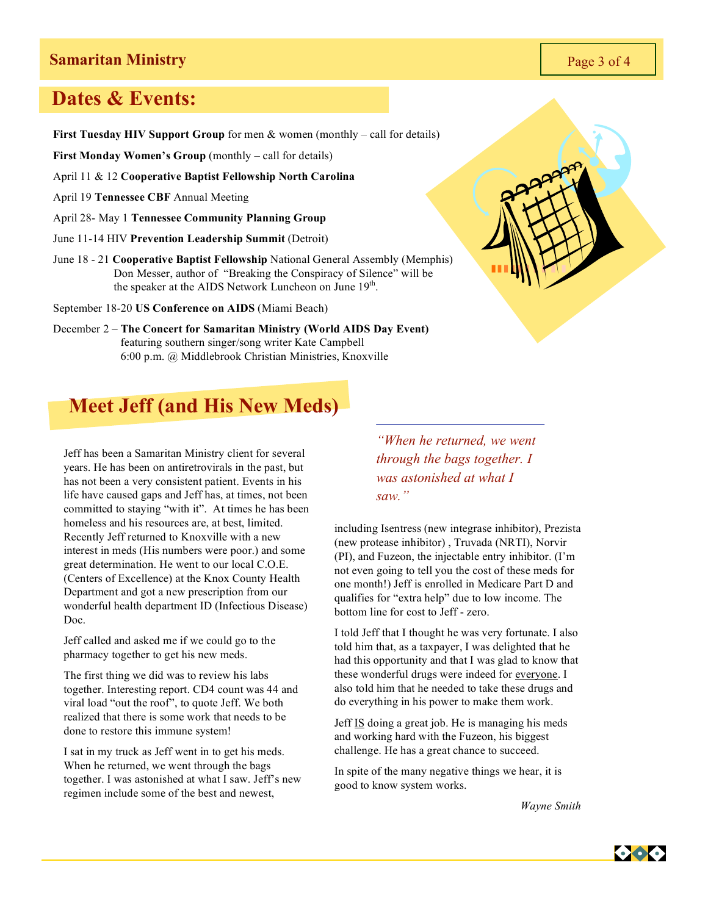#### **Samaritan Ministry** Page 3 of 4

#### **Dates & Events:**

**First Tuesday HIV Support Group** for men & women (monthly – call for details)

**First Monday Women's Group** (monthly – call for details)

April 11 & 12 **Cooperative Baptist Fellowship North Carolina**

April 19 **Tennessee CBF** Annual Meeting

April 28- May 1 **Tennessee Community Planning Group**

- June 11-14 HIV **Prevention Leadership Summit** (Detroit)
- June 18 21 **Cooperative Baptist Fellowship** National General Assembly (Memphis) Don Messer, author of "Breaking the Conspiracy of Silence" will be the speaker at the AIDS Network Luncheon on June  $19<sup>th</sup>$ .

September 18-20 **US Conference on AIDS** (Miami Beach)

December 2 – **The Concert for Samaritan Ministry (World AIDS Day Event)** featuring southern singer/song writer Kate Campbell 6:00 p.m. @ Middlebrook Christian Ministries, Knoxville



### **Meet Jeff (and His New Meds)**

Jeff has been a Samaritan Ministry client for several years. He has been on antiretrovirals in the past, but has not been a very consistent patient. Events in his life have caused gaps and Jeff has, at times, not been committed to staying "with it". At times he has been homeless and his resources are, at best, limited. Recently Jeff returned to Knoxville with a new interest in meds (His numbers were poor.) and some great determination. He went to our local C.O.E. (Centers of Excellence) at the Knox County Health Department and got a new prescription from our wonderful health department ID (Infectious Disease) Doc.

Jeff called and asked me if we could go to the pharmacy together to get his new meds.

The first thing we did was to review his labs together. Interesting report. CD4 count was 44 and viral load "out the roof", to quote Jeff. We both realized that there is some work that needs to be done to restore this immune system!

I sat in my truck as Jeff went in to get his meds. When he returned, we went through the bags together. I was astonished at what I saw. Jeff's new regimen include some of the best and newest,

*"When he returned, we went through the bags together. I was astonished at what I saw."*

including Isentress (new integrase inhibitor), Prezista (new protease inhibitor) , Truvada (NRTI), Norvir (PI), and Fuzeon, the injectable entry inhibitor. (I'm not even going to tell you the cost of these meds for one month!) Jeff is enrolled in Medicare Part D and qualifies for "extra help" due to low income. The bottom line for cost to Jeff - zero.

I told Jeff that I thought he was very fortunate. I also told him that, as a taxpayer, I was delighted that he had this opportunity and that I was glad to know that these wonderful drugs were indeed for everyone. I also told him that he needed to take these drugs and do everything in his power to make them work.

Jeff IS doing a great job. He is managing his meds and working hard with the Fuzeon, his biggest challenge. He has a great chance to succeed.

In spite of the many negative things we hear, it is good to know system works.

*Wayne Smith*